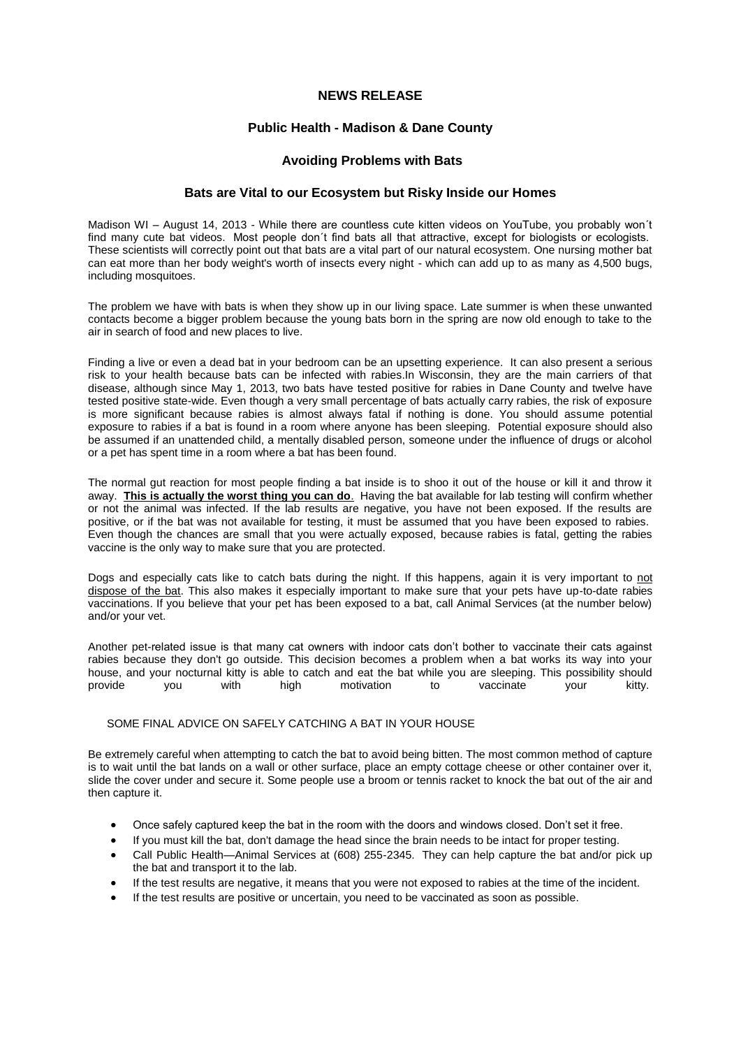# **NEWS RELEASE**

# **Public Health - Madison & Dane County**

### **Avoiding Problems with Bats**

### **Bats are Vital to our Ecosystem but Risky Inside our Homes**

Madison WI – August 14, 2013 - While there are countless cute kitten videos on YouTube, you probably won't find many cute bat videos. Most people don´t find bats all that attractive, except for biologists or ecologists. These scientists will correctly point out that bats are a vital part of our natural ecosystem. One nursing mother bat can eat more than her body weight's worth of insects every night - which can add up to as many as 4,500 bugs, including mosquitoes.

The problem we have with bats is when they show up in our living space. Late summer is when these unwanted contacts become a bigger problem because the young bats born in the spring are now old enough to take to the air in search of food and new places to live.

Finding a live or even a dead bat in your bedroom can be an upsetting experience. It can also present a serious risk to your health because bats can be infected with rabies.In Wisconsin, they are the main carriers of that disease, although since May 1, 2013, two bats have tested positive for rabies in Dane County and twelve have tested positive state-wide. Even though a very small percentage of bats actually carry rabies, the risk of exposure is more significant because rabies is almost always fatal if nothing is done. You should assume potential exposure to rabies if a bat is found in a room where anyone has been sleeping. Potential exposure should also be assumed if an unattended child, a mentally disabled person, someone under the influence of drugs or alcohol or a pet has spent time in a room where a bat has been found.

The normal gut reaction for most people finding a bat inside is to shoo it out of the house or kill it and throw it away. **This is actually the worst thing you can do**. Having the bat available for lab testing will confirm whether or not the animal was infected. If the lab results are negative, you have not been exposed. If the results are positive, or if the bat was not available for testing, it must be assumed that you have been exposed to rabies. Even though the chances are small that you were actually exposed, because rabies is fatal, getting the rabies vaccine is the only way to make sure that you are protected.

Dogs and especially cats like to catch bats during the night. If this happens, again it is very important to not dispose of the bat. This also makes it especially important to make sure that your pets have up-to-date rabies vaccinations. If you believe that your pet has been exposed to a bat, call Animal Services (at the number below) and/or your vet.

Another pet-related issue is that many cat owners with indoor cats don't bother to vaccinate their cats against rabies because they don't go outside. This decision becomes a problem when a bat works its way into your house, and your nocturnal kitty is able to catch and eat the bat while you are sleeping. This possibility should<br>provide you with high motivation to vaccinate your kitty. provide you with high motivation to vaccinate your kitty.

### SOME FINAL ADVICE ON SAFELY CATCHING A BAT IN YOUR HOUSE

Be extremely careful when attempting to catch the bat to avoid being bitten. The most common method of capture is to wait until the bat lands on a wall or other surface, place an empty cottage cheese or other container over it, slide the cover under and secure it. Some people use a broom or tennis racket to knock the bat out of the air and then capture it.

- Once safely captured keep the bat in the room with the doors and windows closed. Don't set it free.
- If you must kill the bat, don't damage the head since the brain needs to be intact for proper testing.
- Call Public Health—Animal Services at (608) 255-2345. They can help capture the bat and/or pick up the bat and transport it to the lab.
- If the test results are negative, it means that you were not exposed to rabies at the time of the incident.
- If the test results are positive or uncertain, you need to be vaccinated as soon as possible.